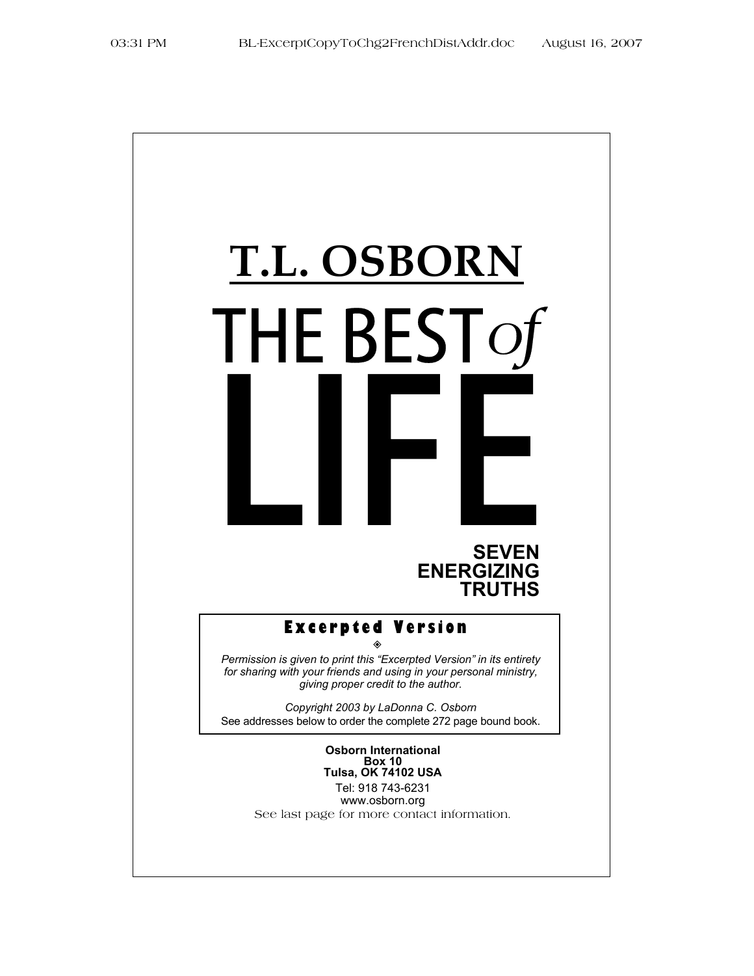# **T.L. OSBORN** THE BEST *of*

# **SEVEN ENERGIZING TRUTHS**

#### **Excerpted Version**  ◈

*Permission is given to print this "Excerpted Version" in its entirety for sharing with your friends and using in your personal ministry, giving proper credit to the author.* 

*Copyright 2003 by LaDonna C. Osborn*  See addresses below to order the complete 272 page bound book.

> **Osborn International Box 10 Tulsa, OK 74102 USA**

Tel: 918 743-6231 www.osborn.org See last page for more contact information.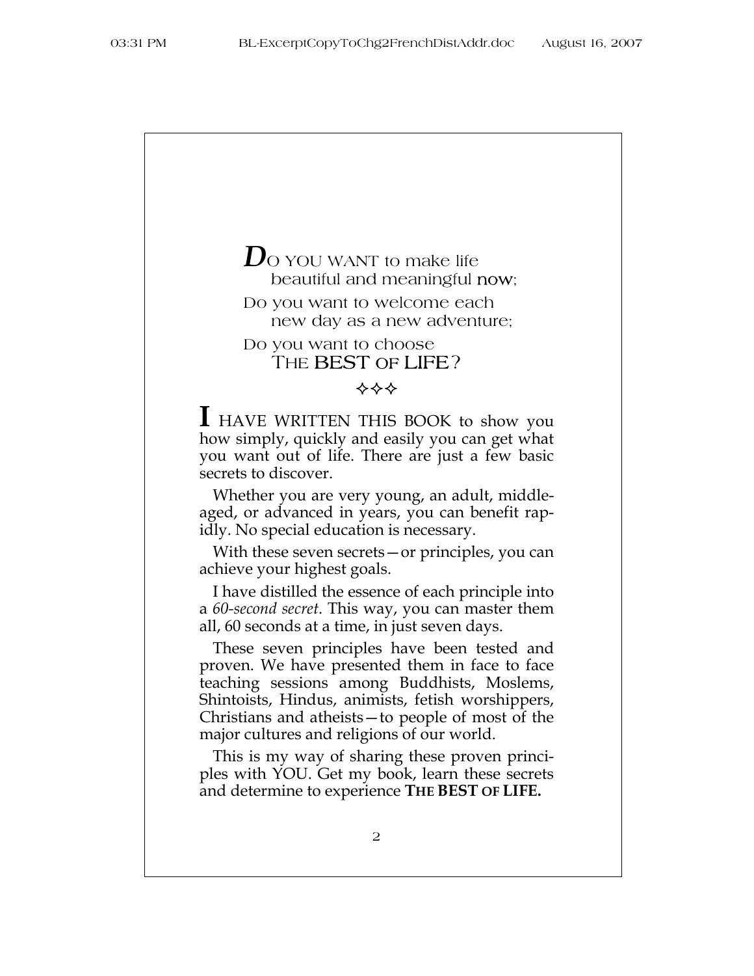# *D*O YOU WANT to make life beautiful and meaningful now; Do you want to welcome each new day as a new adventure; Do you want to choose THE **BEST OF LIFE?**

**I** HAVE WRITTEN THIS BOOK to show you how simply, quickly and easily you can get what you want out of life. There are just a few basic secrets to discover.

Whether you are very young, an adult, middleaged, or advanced in years, you can benefit rapidly. No special education is necessary.

With these seven secrets—or principles, you can achieve your highest goals.

I have distilled the essence of each principle into a *60-second secret*. This way, you can master them all, 60 seconds at a time, in just seven days.

These seven principles have been tested and proven. We have presented them in face to face teaching sessions among Buddhists, Moslems, Shintoists, Hindus, animists, fetish worshippers, Christians and atheists—to people of most of the major cultures and religions of our world.

This is my way of sharing these proven principles with YOU. Get my book, learn these secrets and determine to experience **THE BEST OF LIFE.**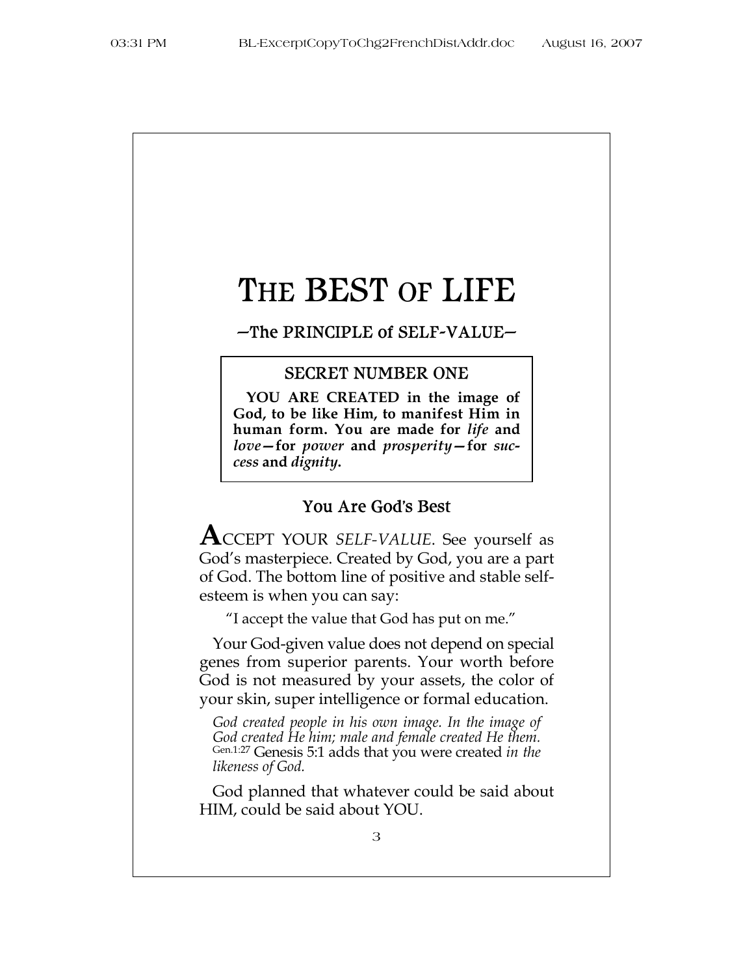# THE BEST OF LIFE

#### -The PRINCIPLE of SELF-VALUE-

#### SECRET NUMBER ONE

**YOU ARE CREATED in the image of God, to be like Him, to manifest Him in human form. You are made for** *life* **and**  *love—***for** *power* **and** *prosperity—***for** *success* **and** *dignity***.** 

#### You Are God's Best

**A**CCEPT YOUR *SELF-VALUE*. See yourself as God's masterpiece. Created by God, you are a part of God. The bottom line of positive and stable selfesteem is when you can say:

"I accept the value that God has put on me."

Your God-given value does not depend on special genes from superior parents. Your worth before God is not measured by your assets, the color of your skin, super intelligence or formal education.

*God created people in his own image. In the image of God created He him; male and female created He them.* Gen.1:27 Genesis 5:1 adds that you were created *in the likeness of God.*

God planned that whatever could be said about HIM, could be said about YOU.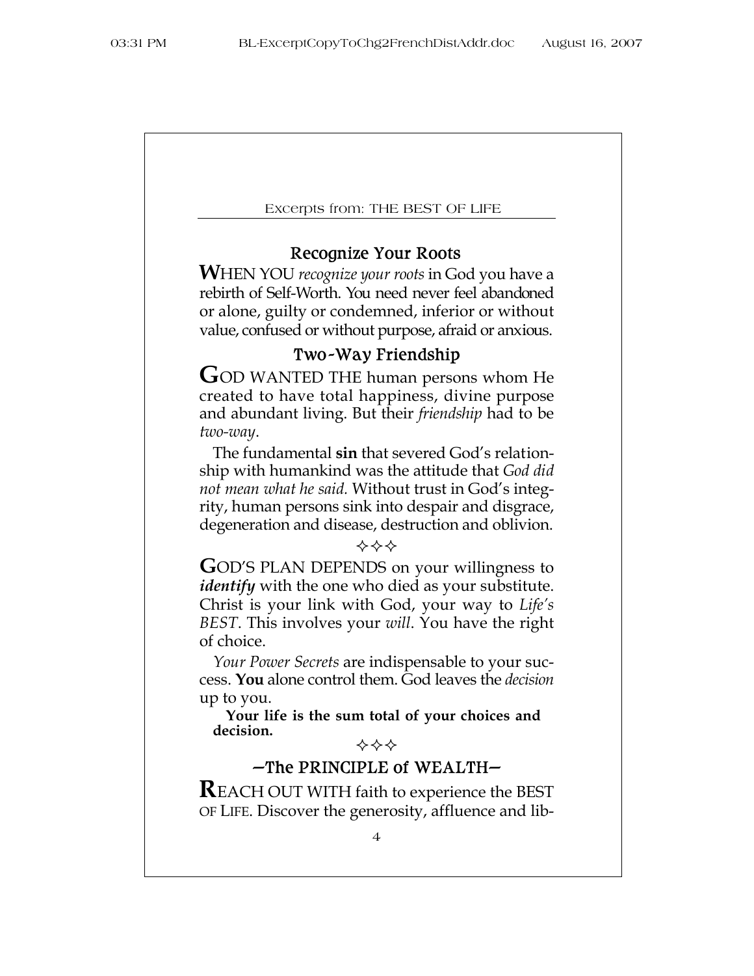# Recognize Your Roots

**W**HEN YOU *recognize your roots* in God you have a rebirth of Self-Worth. You need never feel abandoned or alone, guilty or condemned, inferior or without value, confused or without purpose, afraid or anxious.

# Two -Way Friendship

**G**OD WANTED THE human persons whom He created to have total happiness, divine purpose and abundant living. But their *friendship* had to be *two-way*.

The fundamental **sin** that severed God's relationship with humankind was the attitude that *God did not mean what he said.* Without trust in God's integrity, human persons sink into despair and disgrace, degeneration and disease, destruction and oblivion.

#### ❖❖❖

**G**OD'S PLAN DEPENDS on your willingness to *identify* with the one who died as your substitute. Christ is your link with God, your way to *Life's BEST*. This involves your *will*. You have the right of choice.

*Your Power Secrets* are indispensable to your success. **You** alone control them. God leaves the *decision* up to you.

**Your life is the sum total of your choices and decision.** 

❖❖❖

# $-$ The PRINCIPLE of WEALTH $-$

**R**EACH OUT WITH faith to experience the BEST OF LIFE. Discover the generosity, affluence and lib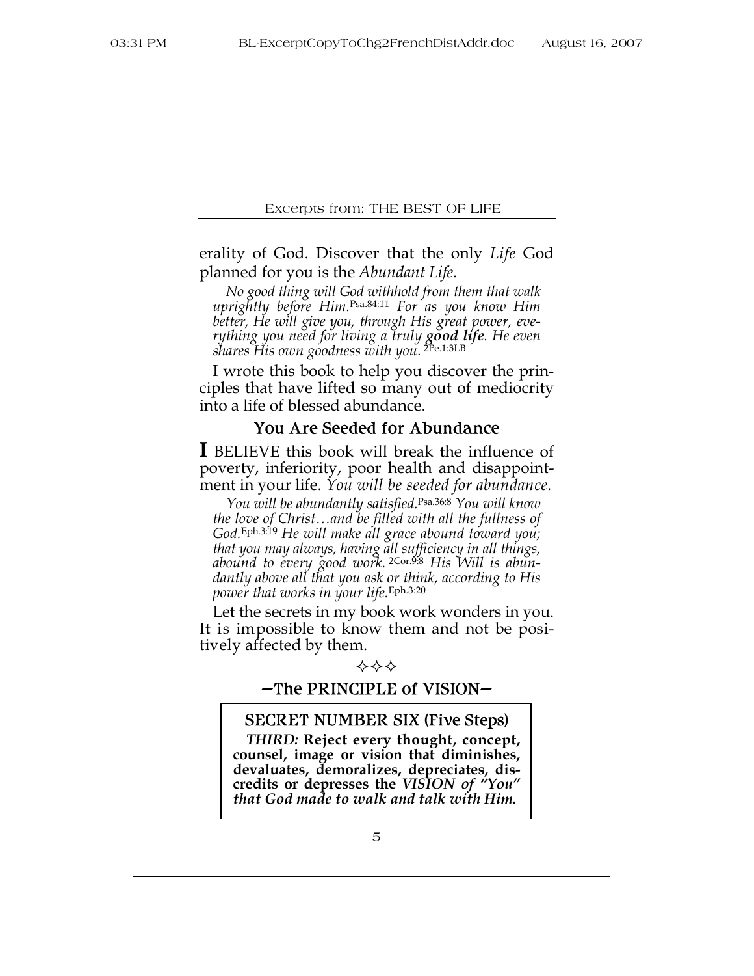erality of God. Discover that the only *Life* God planned for you is the *Abundant Life*.

*No good thing will God withhold from them that walk uprightly before Him.*Psa.84:11 *For as you know Him better, He will give you, through His great power, everything you need for living a truly good life. He even shares His own goodness with you.* 2Pe.1:3LB

I wrote this book to help you discover the principles that have lifted so many out of mediocrity into a life of blessed abundance.

# You Are Seeded for Abundance

**I** BELIEVE this book will break the influence of poverty, inferiority, poor health and disappointment in your life. *You will be seeded for abundance.*

*You will be abundantly satisfied.*Psa.36:8 *You will know the love of Christ…and be filled with all the fullness of God.*Eph.3:19 *He will make all grace abound toward you; that you may always, having all sufficiency in all things, abound to every good work.* 2Cor.9:8 *His Will is abundantly above all that you ask or think, according to His power that works in your life.*Eph.3:20

Let the secrets in my book work wonders in you. It is impossible to know them and not be positively affected by them.



# $-$ The PRINCIPLE of VISION $-$

#### SECRET NUMBER SIX (Five Steps)

*THIRD:* **Reject every thought, concept, counsel, image or vision that diminishes, devaluates, demoralizes, depreciates, discredits or depresses the** *VISION of "You" that God made to walk and talk with Him.*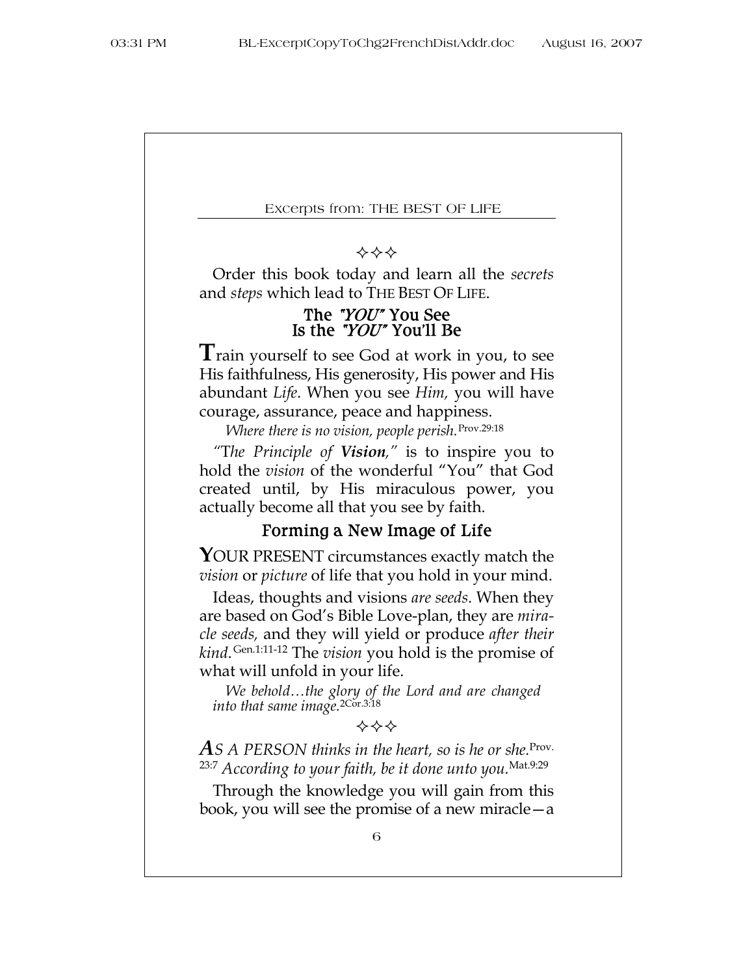#### ❖❖❖

Order this book today and learn all the *secrets* and *steps* which lead to THE BEST OF LIFE.

#### The "YOU" You See Is the " $YO U''$  You'll Be

**T**rain yourself to see God at work in you, to see His faithfulness, His generosity, His power and His abundant *Life*. When you see *Him,* you will have courage, assurance, peace and happiness.

*Where there is no vision, people perish.*Prov.29:18

*"*T*he Principle of Vision,"* is to inspire you to hold the *vision* of the wonderful "You" that God created until, by His miraculous power, you actually become all that you see by faith.

## Forming a New Image of Life

YOUR PRESENT circumstances exactly match the *vision* or *picture* of life that you hold in your mind.

Ideas, thoughts and visions *are seeds*. When they are based on God's Bible Love-plan, they are *miracle seeds,* and they will yield or produce *after their kind*. Gen.1:11-12 The *vision* you hold is the promise of what will unfold in your life.

*We behold…the glory of the Lord and are changed into that same image.*2Cor.3:18

❖❖❖

*AS A PERSON thinks in the heart, so is he or she.*Prov. 23:7 *According to your faith, be it done unto you.*Mat.9:29

Through the knowledge you will gain from this book, you will see the promise of a new miracle—a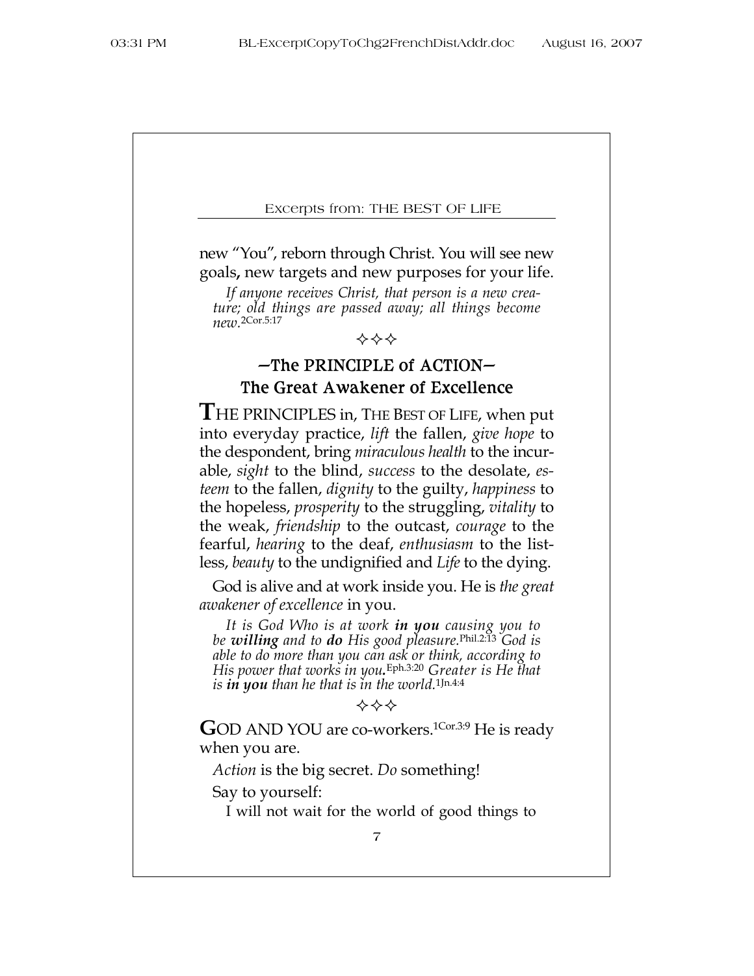new "You", reborn through Christ. You will see new goals**,** new targets and new purposes for your life.

*If anyone receives Christ, that person is a new creature; old things are passed away; all things become new.* 2Cor.5:17



# $-$ The PRINCIPLE of ACTION $-$ The Great Awakener of Excellence

**T**HE PRINCIPLES in, THE BEST OF LIFE, when put into everyday practice, *lift* the fallen, *give hope* to the despondent, bring *miraculous health* to the incurable, *sight* to the blind, *success* to the desolate, *esteem* to the fallen, *dignity* to the guilty, *happiness* to the hopeless, *prosperity* to the struggling, *vitality* to the weak, *friendship* to the outcast, *courage* to the fearful, *hearing* to the deaf, *enthusiasm* to the listless, *beauty* to the undignified and *Life* to the dying.

God is alive and at work inside you. He is *the great awakener of excellence* in you.

*It is God Who is at work in you causing you to be willing and to do His good pleasure.*Phil.2:13 *God is able to do more than you can ask or think, according to His power that works in you.* Eph.3:20 *Greater is He that is in you than he that is in the world.*1Jn.4:4

GOD AND YOU are co-workers.<sup>1Cor.3:9</sup> He is ready when you are.

*Action* is the big secret. *Do* something!

Say to yourself:

I will not wait for the world of good things to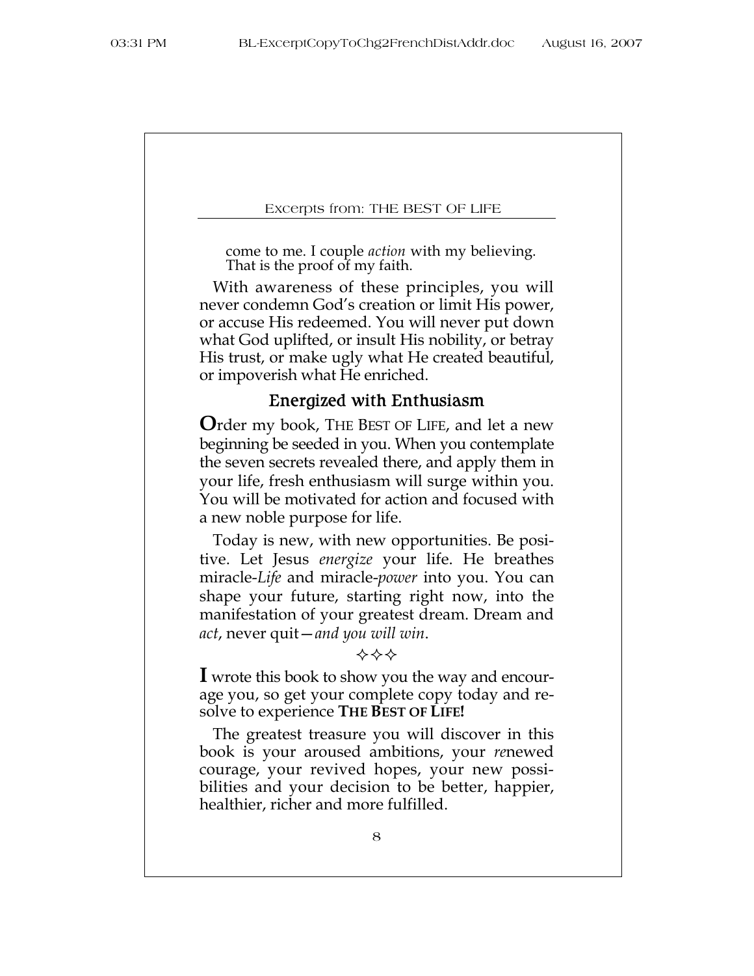come to me. I couple *action* with my believing. That is the proof of my faith.

With awareness of these principles, you will never condemn God's creation or limit His power, or accuse His redeemed. You will never put down what God uplifted, or insult His nobility, or betray His trust, or make ugly what He created beautiful, or impoverish what He enriched.

#### Energized with Enthusiasm

**O**rder my book, THE BEST OF LIFE, and let a new beginning be seeded in you. When you contemplate the seven secrets revealed there, and apply them in your life, fresh enthusiasm will surge within you. You will be motivated for action and focused with a new noble purpose for life.

Today is new, with new opportunities. Be positive. Let Jesus *energize* your life. He breathes miracle-*Life* and miracle-*power* into you. You can shape your future, starting right now, into the manifestation of your greatest dream. Dream and *act*, never quit—*and you will win*.

#### ❖❖❖

**I** wrote this book to show you the way and encourage you, so get your complete copy today and resolve to experience **THE BEST OF LIFE!**

The greatest treasure you will discover in this book is your aroused ambitions, your *re*newed courage, your revived hopes, your new possibilities and your decision to be better, happier, healthier, richer and more fulfilled.